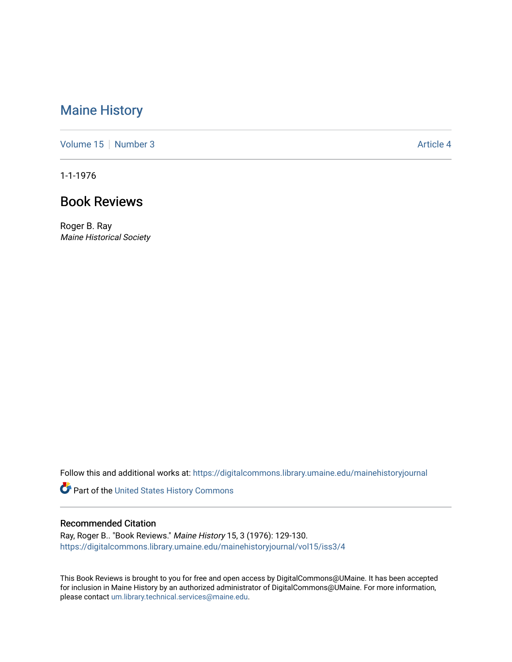## [Maine History](https://digitalcommons.library.umaine.edu/mainehistoryjournal)

[Volume 15](https://digitalcommons.library.umaine.edu/mainehistoryjournal/vol15) [Number 3](https://digitalcommons.library.umaine.edu/mainehistoryjournal/vol15/iss3) Article 4

1-1-1976

## Book Reviews

Roger B. Ray Maine Historical Society

Follow this and additional works at: [https://digitalcommons.library.umaine.edu/mainehistoryjournal](https://digitalcommons.library.umaine.edu/mainehistoryjournal?utm_source=digitalcommons.library.umaine.edu%2Fmainehistoryjournal%2Fvol15%2Fiss3%2F4&utm_medium=PDF&utm_campaign=PDFCoverPages) 

Part of the [United States History Commons](http://network.bepress.com/hgg/discipline/495?utm_source=digitalcommons.library.umaine.edu%2Fmainehistoryjournal%2Fvol15%2Fiss3%2F4&utm_medium=PDF&utm_campaign=PDFCoverPages) 

## Recommended Citation

Ray, Roger B.. "Book Reviews." Maine History 15, 3 (1976): 129-130. [https://digitalcommons.library.umaine.edu/mainehistoryjournal/vol15/iss3/4](https://digitalcommons.library.umaine.edu/mainehistoryjournal/vol15/iss3/4?utm_source=digitalcommons.library.umaine.edu%2Fmainehistoryjournal%2Fvol15%2Fiss3%2F4&utm_medium=PDF&utm_campaign=PDFCoverPages)

This Book Reviews is brought to you for free and open access by DigitalCommons@UMaine. It has been accepted for inclusion in Maine History by an authorized administrator of DigitalCommons@UMaine. For more information, please contact [um.library.technical.services@maine.edu.](mailto:um.library.technical.services@maine.edu)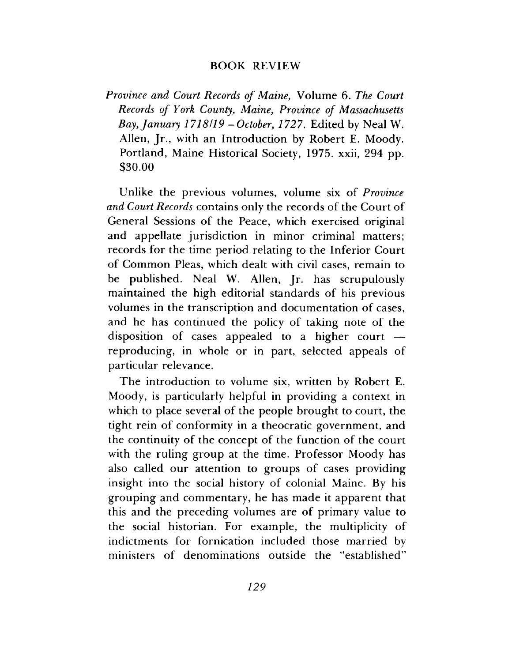## BOOK REVIEW

*Province and Court Records of Maine,* Volume 6. *The Court Records of York County, Maine, Province of Massachusetts Bay, January 1718/19 - October, 1727.* Edited by Neal W. Allen, Jr., with an Introduction by Robert E. Moody. Portland, Maine Historical Society, 1975. xxii, 294 pp. \$30.00

Unlike the previous volumes, volume six of *Province and Court Records* contains only the records of the Court of General Sessions of the Peace, which exercised original and appellate jurisdiction in minor criminal matters; records for the time period relating to the Inferior Court of Common Pleas, which dealt with civil cases, remain to be published. Neal W. Allen, Jr. has scrupulously maintained the high editorial standards of his previous volumes in the transcription and documentation of cases, and he has continued the policy of taking note of the disposition of cases appealed to a higher court  $\rightarrow$ reproducing, in whole or in part, selected appeals of particular relevance.

The introduction to volume six, written by Robert E. Moody, is particularly helpful in providing a context in which to place several of the people brought to court, the tight rein of conformity in a theocratic government, and the continuity of the concept of the function of the court with the ruling group at the time. Professor Moody has also called our attention to groups of cases providing insight into the social history of colonial Maine. By his grouping and commentary, he has made it apparent that this and the preceding volumes are of primary value to the social historian. For example, the multiplicity of indictments for fornication included those married by ministers of denominations outside the "established"